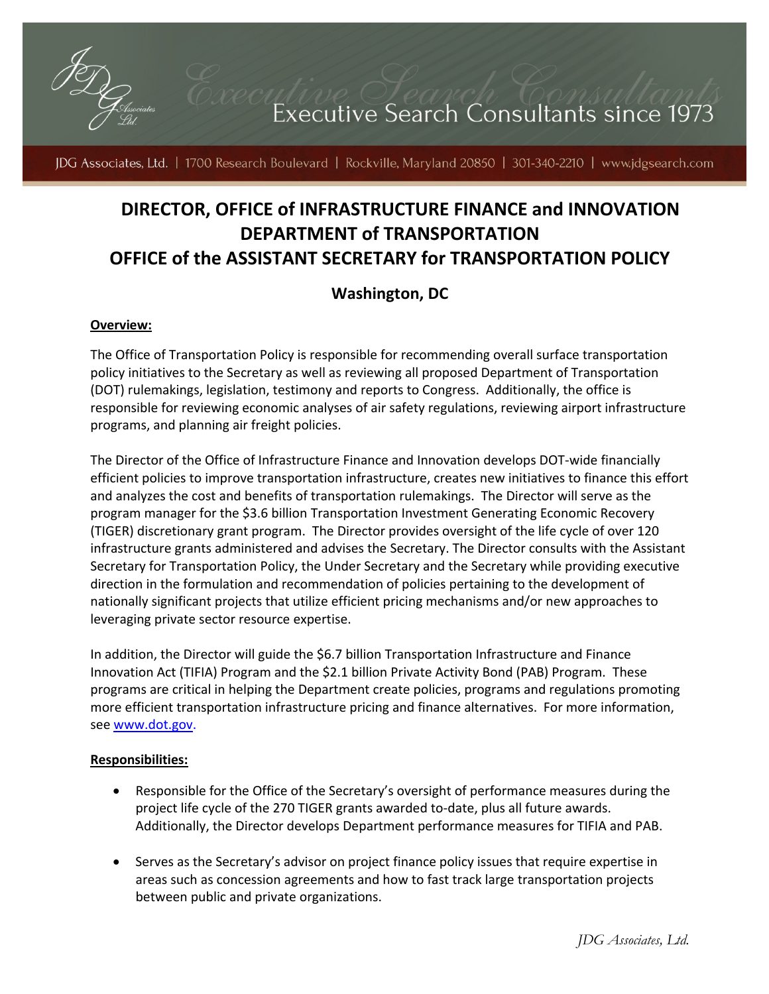

JDG Associates, Ltd. | 1700 Research Boulevard | Rockville, Maryland 20850 | 301-340-2210 | www.jdgsearch.com

# **DIRECTOR, OFFICE of INFRASTRUCTURE FINANCE and INNOVATION DEPARTMENT of TRANSPORTATION OFFICE of the ASSISTANT SECRETARY for TRANSPORTATION POLICY**

# **Washington, DC**

#### **Overview:**

The Office of Transportation Policy is responsible for recommending overall surface transportation policy initiatives to the Secretary as well as reviewing all proposed Department of Transportation (DOT) rulemakings, legislation, testimony and reports to Congress. Additionally, the office is responsible for reviewing economic analyses of air safety regulations, reviewing airport infrastructure programs, and planning air freight policies.

The Director of the Office of Infrastructure Finance and Innovation develops DOT‐wide financially efficient policies to improve transportation infrastructure, creates new initiatives to finance this effort and analyzes the cost and benefits of transportation rulemakings. The Director will serve as the program manager for the \$3.6 billion Transportation Investment Generating Economic Recovery (TIGER) discretionary grant program. The Director provides oversight of the life cycle of over 120 infrastructure grants administered and advises the Secretary. The Director consults with the Assistant Secretary for Transportation Policy, the Under Secretary and the Secretary while providing executive direction in the formulation and recommendation of policies pertaining to the development of nationally significant projects that utilize efficient pricing mechanisms and/or new approaches to leveraging private sector resource expertise.

In addition, the Director will guide the \$6.7 billion Transportation Infrastructure and Finance Innovation Act (TIFIA) Program and the \$2.1 billion Private Activity Bond (PAB) Program. These programs are critical in helping the Department create policies, programs and regulations promoting more efficient transportation infrastructure pricing and finance alternatives. For more information, see [www.dot.gov.](http://www.dot.gov/)

#### **Responsibilities:**

- Responsible for the Office of the Secretary's oversight of performance measures during the project life cycle of the 270 TIGER grants awarded to-date, plus all future awards. Additionally, the Director develops Department performance measures for TIFIA and PAB.
- Serves as the Secretary's advisor on project finance policy issues that require expertise in areas such as concession agreements and how to fast track large transportation projects between public and private organizations.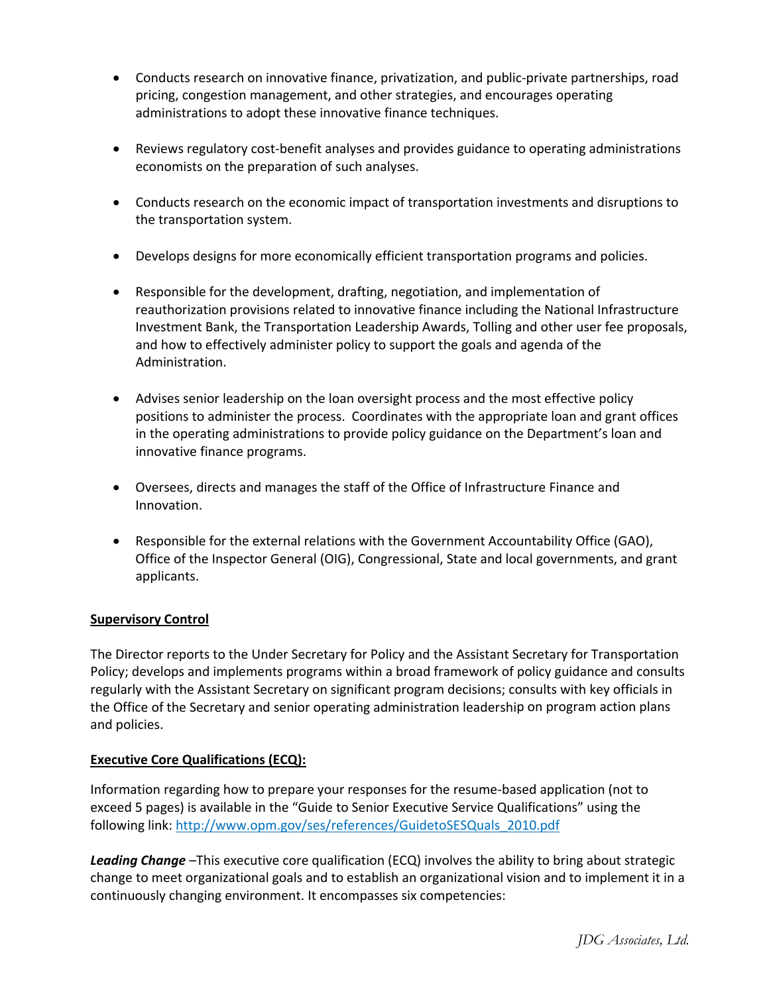- Conducts research on innovative finance, privatization, and public-private partnerships, road pricing, congestion management, and other strategies, and encourages operating administrations to adopt these innovative finance techniques.
- Reviews regulatory cost-benefit analyses and provides guidance to operating administrations economists on the preparation of such analyses.
- Conducts research on the economic impact of transportation investments and disruptions to the transportation system.
- Develops designs for more economically efficient transportation programs and policies.
- Responsible for the development, drafting, negotiation, and implementation of reauthorization provisions related to innovative finance including the National Infrastructure Investment Bank, the Transportation Leadership Awards, Tolling and other user fee proposals, and how to effectively administer policy to support the goals and agenda of the Administration.
- Advises senior leadership on the loan oversight process and the most effective policy positions to administer the process. Coordinates with the appropriate loan and grant offices in the operating administrations to provide policy guidance on the Department's loan and innovative finance programs.
- Oversees, directs and manages the staff of the Office of Infrastructure Finance and Innovation.
- Responsible for the external relations with the Government Accountability Office (GAO), Office of the Inspector General (OIG), Congressional, State and local governments, and grant applicants.

## **Supervisory Control**

The Director reports to the Under Secretary for Policy and the Assistant Secretary for Transportation Policy; develops and implements programs within a broad framework of policy guidance and consults regularly with the Assistant Secretary on significant program decisions; consults with key officials in the Office of the Secretary and senior operating administration leadership on program action plans and policies.

## **Executive Core Qualifications (ECQ):**

Information regarding how to prepare your responses for the resume‐based application (not to exceed 5 pages) is available in the "Guide to Senior Executive Service Qualifications" using the following link: [http://www.opm.gov/ses/references/GuidetoSESQuals\\_2010.pdf](http://www.opm.gov/ses/references/GuidetoSESQuals_2010.pdf)

*Leading Change* –This executive core qualification (ECQ) involves the ability to bring about strategic change to meet organizational goals and to establish an organizational vision and to implement it in a continuously changing environment. It encompasses six competencies: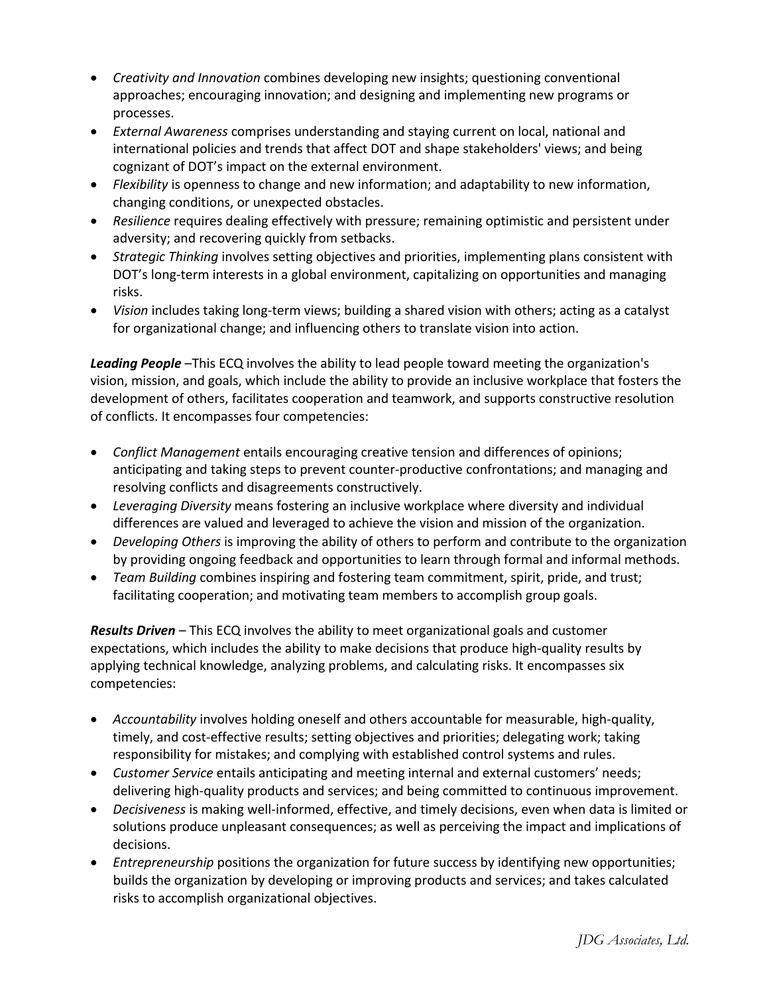- *Creativity and Innovation* combines developing new insights; questioning conventional approaches; encouraging innovation; and designing and implementing new programs or processes.
- *External Awareness* comprises understanding and staying current on local, national and international policies and trends that affect DOT and shape stakeholders' views; and being cognizant of DOT's impact on the external environment.
- *Flexibility* is openness to change and new information; and adaptability to new information, changing conditions, or unexpected obstacles.
- *Resilience* requires dealing effectively with pressure; remaining optimistic and persistent under adversity; and recovering quickly from setbacks.
- *Strategic Thinking* involves setting objectives and priorities, implementing plans consistent with DOT's long-term interests in a global environment, capitalizing on opportunities and managing risks.
- *Vision* includes taking long‐term views; building a shared vision with others; acting as a catalyst for organizational change; and influencing others to translate vision into action.

*Leading People* –This ECQ involves the ability to lead people toward meeting the organization's vision, mission, and goals, which include the ability to provide an inclusive workplace that fosters the development of others, facilitates cooperation and teamwork, and supports constructive resolution of conflicts. It encompasses four competencies:

- *Conflict Management* entails encouraging creative tension and differences of opinions; anticipating and taking steps to prevent counter‐productive confrontations; and managing and resolving conflicts and disagreements constructively.
- *Leveraging Diversity* means fostering an inclusive workplace where diversity and individual differences are valued and leveraged to achieve the vision and mission of the organization.
- *Developing Others* is improving the ability of others to perform and contribute to the organization by providing ongoing feedback and opportunities to learn through formal and informal methods.
- *Team Building* combines inspiring and fostering team commitment, spirit, pride, and trust; facilitating cooperation; and motivating team members to accomplish group goals.

*Results Driven* – This ECQ involves the ability to meet organizational goals and customer expectations, which includes the ability to make decisions that produce high-quality results by applying technical knowledge, analyzing problems, and calculating risks. It encompasses six competencies:

- *Accountability* involves holding oneself and others accountable for measurable, high‐quality, timely, and cost-effective results; setting objectives and priorities; delegating work; taking responsibility for mistakes; and complying with established control systems and rules.
- *Customer Service* entails anticipating and meeting internal and external customers' needs; delivering high-quality products and services; and being committed to continuous improvement.
- *Decisiveness* is making well-informed, effective, and timely decisions, even when data is limited or solutions produce unpleasant consequences; as well as perceiving the impact and implications of decisions.
- *Entrepreneurship* positions the organization for future success by identifying new opportunities; builds the organization by developing or improving products and services; and takes calculated risks to accomplish organizational objectives.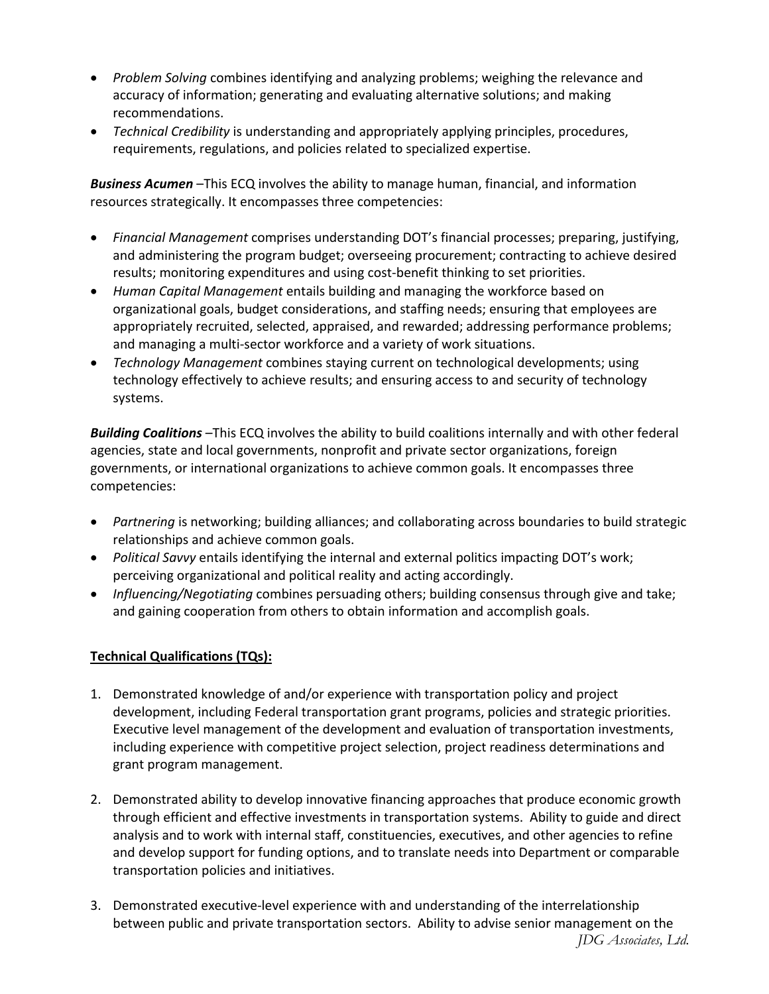- *Problem Solving* combines identifying and analyzing problems; weighing the relevance and accuracy of information; generating and evaluating alternative solutions; and making recommendations.
- *Technical Credibility* is understanding and appropriately applying principles, procedures, requirements, regulations, and policies related to specialized expertise.

*Business Acumen* –This ECQ involves the ability to manage human, financial, and information resources strategically. It encompasses three competencies:

- *Financial Management* comprises understanding DOT's financial processes; preparing, justifying, and administering the program budget; overseeing procurement; contracting to achieve desired results; monitoring expenditures and using cost‐benefit thinking to set priorities.
- *Human Capital Management* entails building and managing the workforce based on organizational goals, budget considerations, and staffing needs; ensuring that employees are appropriately recruited, selected, appraised, and rewarded; addressing performance problems; and managing a multi‐sector workforce and a variety of work situations.
- *Technology Management* combines staying current on technological developments; using technology effectively to achieve results; and ensuring access to and security of technology systems.

*Building Coalitions* –This ECQ involves the ability to build coalitions internally and with other federal agencies, state and local governments, nonprofit and private sector organizations, foreign governments, or international organizations to achieve common goals. It encompasses three competencies:

- *Partnering* is networking; building alliances; and collaborating across boundaries to build strategic relationships and achieve common goals.
- *Political Savvy* entails identifying the internal and external politics impacting DOT's work; perceiving organizational and political reality and acting accordingly.
- *Influencing/Negotiating* combines persuading others; building consensus through give and take; and gaining cooperation from others to obtain information and accomplish goals.

## **Technical Qualifications (TQs):**

- 1. Demonstrated knowledge of and/or experience with transportation policy and project development, including Federal transportation grant programs, policies and strategic priorities. Executive level management of the development and evaluation of transportation investments, including experience with competitive project selection, project readiness determinations and grant program management.
- 2. Demonstrated ability to develop innovative financing approaches that produce economic growth through efficient and effective investments in transportation systems. Ability to guide and direct analysis and to work with internal staff, constituencies, executives, and other agencies to refine and develop support for funding options, and to translate needs into Department or comparable transportation policies and initiatives.
- 3. Demonstrated executive‐level experience with and understanding of the interrelationship between public and private transportation sectors. Ability to advise senior management on the